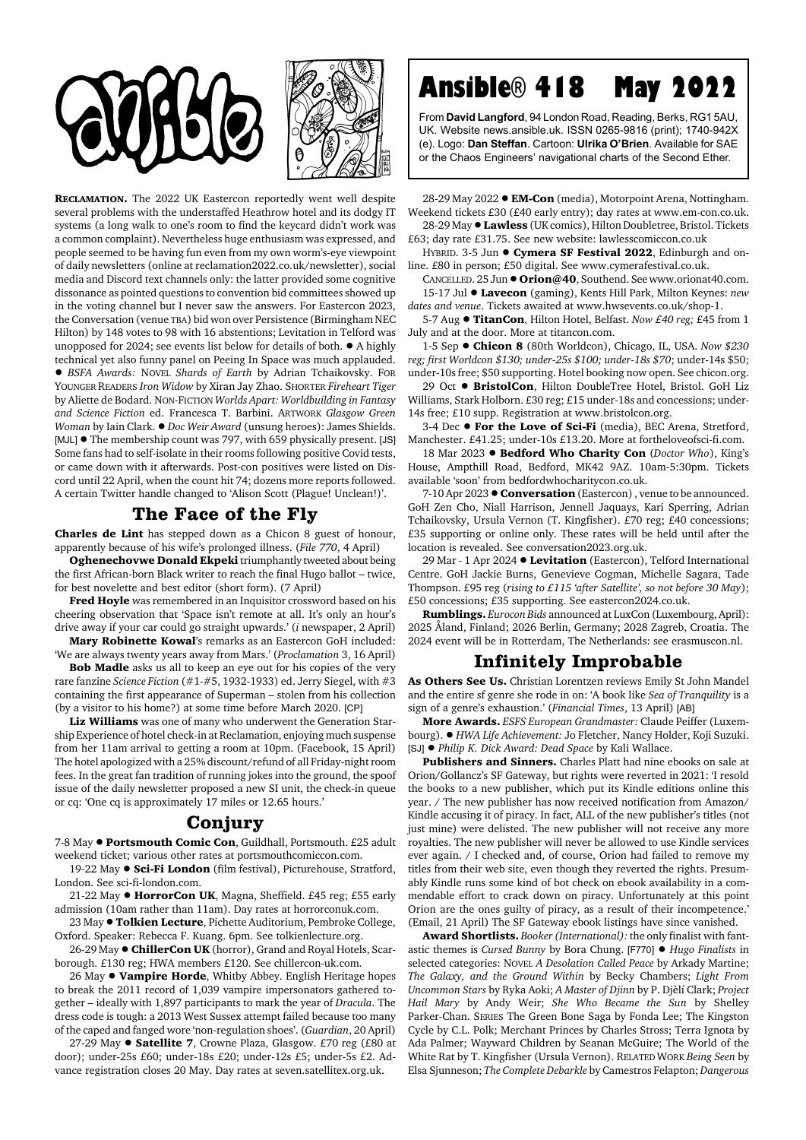



**RECLAMATION.** The 2022 UK Eastercon reportedly went well despite several problems with the understaffed Heathrow hotel and its dodgy IT systems (a long walk to one's room to find the keycard didn't work was a common complaint). Nevertheless huge enthusiasm was expressed, and people seemed to be having fun even from my own worm's-eye viewpoint of daily newsletters (online at reclamation2022.co.uk/newsletter), social media and Discord text channels only: the latter provided some cognitive dissonance as pointed questions to convention bid committees showed up in the voting channel but I never saw the answers. For Eastercon 2023, the Conversation (venue TBA) bid won over Persistence (Birmingham NEC Hilton) by 148 votes to 98 with 16 abstentions; Levitation in Telford was unopposed for 2024; see events list below for details of both.  $\bullet$  A highly technical yet also funny panel on Peeing In Space was much applauded. ! *BSFA Awards:* NOVEL *Shards of Earth* by Adrian Tchaikovsky. FOR YOUNGER READERS *Iron Widow* by Xiran Jay Zhao. SHORTER *Fireheart Tiger* by Aliette de Bodard. NON-FICTION *Worlds Apart: Worldbuilding in Fantasy and Science Fiction* ed. Francesca T. Barbini. ARTWORK *Glasgow Green Woman* by Iain Clark. ! *Doc Weir Award* (unsung heroes): James Shields. [MJL]  $\bullet$  The membership count was 797, with 659 physically present. [JS] Some fans had to self-isolate in their rooms following positive Covid tests, or came down with it afterwards. Post-con positives were listed on Discord until 22 April, when the count hit 74; dozens more reports followed. A certain Twitter handle changed to 'Alison Scott (Plague! Unclean!)'.

## **The Face of the Fly**

**Charles de Lint** has stepped down as a Chicon 8 guest of honour, apparently because of his wife's prolonged illness. (*File 770*, 4 April)

**Oghenechovwe Donald Ekpeki** triumphantly tweeted about being the first African-born Black writer to reach the final Hugo ballot – twice, for best novelette and best editor (short form). (7 April)

**Fred Hoyle** was remembered in an Inquisitor crossword based on his cheering observation that 'Space isn't remote at all. It's only an hour's drive away if your car could go straight upwards.' (*i* newspaper, 2 April) **Mary Robinette Kowal**'s remarks as an Eastercon GoH included:

'We are always twenty years away from Mars.' (*Proclamation* 3, 16 April) **Bob Madle** asks us all to keep an eye out for his copies of the very

rare fanzine *Science Fiction* (#1-#5, 1932-1933) ed. Jerry Siegel, with #3 containing the first appearance of Superman – stolen from his collection (by a visitor to his home?) at some time before March 2020. [CP]

**Liz Williams** was one of many who underwent the Generation Starship Experience of hotel check-in at Reclamation, enjoying much suspense from her 11am arrival to getting a room at 10pm. (Facebook, 15 April) The hotel apologized with a 25% discount/refund of all Friday-night room fees. In the great fan tradition of running jokes into the ground, the spoof issue of the daily newsletter proposed a new SI unit, the check-in queue or cq: 'One cq is approximately 17 miles or 12.65 hours.'

## **Conjury**

7-8 May  $\bullet$  **Portsmouth Comic Con**, Guildhall, Portsmouth. £25 adult weekend ticket; various other rates at portsmouthcomiccon.com.

19-22 May  $\bullet$  **Sci-Fi London** (film festival), Picturehouse, Stratford, London. See sci-fi-london.com.

21-22 May ! **HorrorCon UK**, Magna, Sheffield. £45 reg; £55 early admission (10am rather than 11am). Day rates at horrorconuk.com.

23 May ! **Tolkien Lecture**, Pichette Auditorium, Pembroke College, Oxford. Speaker: Rebecca F. Kuang. 6pm. See tolkienlecture.org.

26-29 May  $\bullet$  ChillerCon UK (horror), Grand and Royal Hotels, Scarborough. £130 reg; HWA members £120. See chillercon-uk.com.

26 May ! **Vampire Horde**, Whitby Abbey. English Heritage hopes to break the 2011 record of 1,039 vampire impersonators gathered together – ideally with 1,897 participants to mark the year of *Dracula*. The dress code is tough: a 2013 West Sussex attempt failed because too many of the caped and fanged wore 'non-regulation shoes'. (*Guardian*, 20 April)

27-29 May ! **Satellite 7**, Crowne Plaza, Glasgow. £70 reg (£80 at door); under-25s £60; under-18s £20; under-12s £5; under-5s £2. Advance registration closes 20 May. Day rates at seven.satellitex.org.uk.

**Ansible® 418 May 2022**

From **David Langford**, 94 London Road, Reading, Berks, RG1 5AU, UK. Website news.ansible.uk. ISSN 0265-9816 (print); 1740-942X (e). Logo: **Dan Steffan**. Cartoon: **Ulrika O'Brien**. Available for SAE or the Chaos Engineers' navigational charts of the Second Ether.

28-29 May 2022 ● **EM-Con** (media), Motorpoint Arena, Nottingham. Weekend tickets £30 (£40 early entry); day rates at www.em-con.co.uk. 28-29 May !**Lawless** (UK comics), Hilton Doubletree, Bristol. Tickets

£63; day rate £31.75. See new website: lawlesscomiccon.co.uk HYBRID. 3-5 Jun  $\bullet$  Cymera SF Festival 2022, Edinburgh and on-

line. £80 in person; £50 digital. See www.cymerafestival.co.uk.

CANCELLED. 25 Jun ● Orion@40, Southend. See www.orionat40.com. 15-17 Jul ! **Lavecon** (gaming), Kents Hill Park, Milton Keynes: *new dates and venue*. Tickets awaited at www.hwsevents.co.uk/shop-1.

5-7 Aug ! **TitanCon**, Hilton Hotel, Belfast. *Now £40 reg;* £45 from 1 July and at the door. More at titancon.com.

1-5 Sep ! **Chicon 8** (80th Worldcon), Chicago, IL, USA. *Now \$230 reg; first Worldcon \$130; under-25s \$100; under-18s \$70*; under-14s \$50; under-10s free; \$50 supporting. Hotel booking now open. See chicon.org.

29 Oct . BristolCon, Hilton DoubleTree Hotel, Bristol. GoH Liz Williams, Stark Holborn. £30 reg; £15 under-18s and concessions; under-14s free; £10 supp. Registration at www.bristolcon.org.

3-4 Dec  $\bullet$  **For the Love of Sci-Fi** (media), BEC Arena, Stretford, Manchester. £41.25; under-10s £13.20. More at fortheloveofsci-fi.com.

18 Mar 2023 **· Bedford Who Charity Con** (*Doctor Who*), King's House, Ampthill Road, Bedford, MK42 9AZ. 10am-5:30pm. Tickets available 'soon' from bedfordwhocharitycon.co.uk.

7-10 Apr 2023  $\bullet$  **Conversation** (Eastercon), venue to be announced. GoH Zen Cho, Niall Harrison, Jennell Jaquays, Kari Sperring, Adrian Tchaikovsky, Ursula Vernon (T. Kingfisher). £70 reg; £40 concessions; £35 supporting or online only. These rates will be held until after the location is revealed. See conversation2023.org.uk.

29 Mar - 1 Apr 2024  $\bullet$  Levitation (Eastercon), Telford International Centre. GoH Jackie Burns, Genevieve Cogman, Michelle Sagara, Tade Thompson. £95 reg (*rising to £115 'after Satellite', so not before 30 May*); £50 concessions; £35 supporting. See eastercon2024.co.uk.

**Rumblings.** *Eurocon Bids* announced at LuxCon (Luxembourg, April): 2025 Åland, Finland; 2026 Berlin, Germany; 2028 Zagreb, Croatia. The 2024 event will be in Rotterdam, The Netherlands: see erasmuscon.nl.

## **Infinitely Improbable**

**As Others See Us.** Christian Lorentzen reviews Emily St John Mandel and the entire sf genre she rode in on: 'A book like *Sea of Tranquility* is a sign of a genre's exhaustion.' (*Financial Times*, 13 April) [AB]

**More Awards.** *ESFS European Grandmaster:* Claude Peiffer (Luxembourg). ! *HWA Life Achievement:* Jo Fletcher, Nancy Holder, Koji Suzuki. [SJ] ! *Philip K. Dick Award: Dead Space* by Kali Wallace.

**Publishers and Sinners.** Charles Platt had nine ebooks on sale at Orion/Gollancz's SF Gateway, but rights were reverted in 2021: 'I resold the books to a new publisher, which put its Kindle editions online this year. / The new publisher has now received notification from Amazon/ Kindle accusing it of piracy. In fact, ALL of the new publisher's titles (not just mine) were delisted. The new publisher will not receive any more royalties. The new publisher will never be allowed to use Kindle services ever again. / I checked and, of course, Orion had failed to remove my titles from their web site, even though they reverted the rights. Presumably Kindle runs some kind of bot check on ebook availability in a commendable effort to crack down on piracy. Unfortunately at this point Orion are the ones guilty of piracy, as a result of their incompetence.' (Email, 21 April) The SF Gateway ebook listings have since vanished.

**Award Shortlists.** *Booker (International):* the only finalist with fantastic themes is *Cursed Bunny* by Bora Chung. [F770] ! *Hugo Finalists* in selected categories: NOVEL *A Desolation Called Peace* by Arkady Martine; *The Galaxy, and the Ground Within* by Becky Chambers; *Light From Uncommon Stars* by Ryka Aoki; *A Master of Djinn* by P. Djèlí Clark; *Project Hail Mary* by Andy Weir; *She Who Became the Sun* by Shelley Parker-Chan. SERIES The Green Bone Saga by Fonda Lee; The Kingston Cycle by C.L. Polk; Merchant Princes by Charles Stross; Terra Ignota by Ada Palmer; Wayward Children by Seanan McGuire; The World of the White Rat by T. Kingfisher (Ursula Vernon). RELATED WORK *Being Seen* by Elsa Sjunneson; *The Complete Debarkle* by Camestros Felapton; *Dangerous*